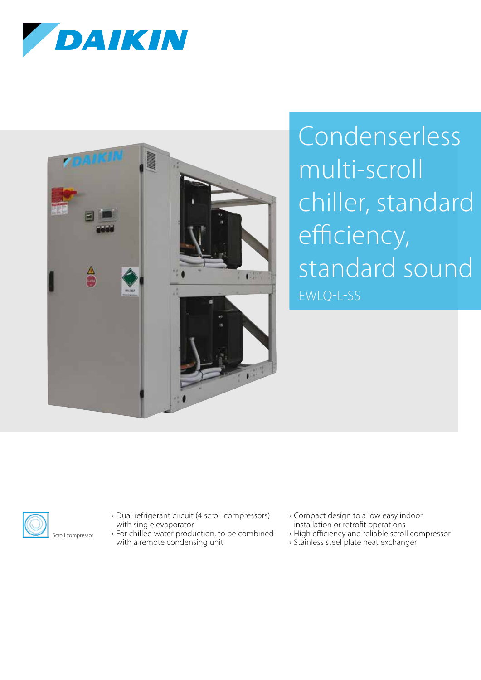



## Condenserless multi-scroll chiller, standard efficiency, standard sound EWLQ-L-SS



- › Dual refrigerant circuit (4 scroll compressors) with single evaporator
- › For chilled water production, to be combined with a remote condensing unit
- › Compact design to allow easy indoor installation or retrofit operations
- › High efficiency and reliable scroll compressor
- › Stainless steel plate heat exchanger